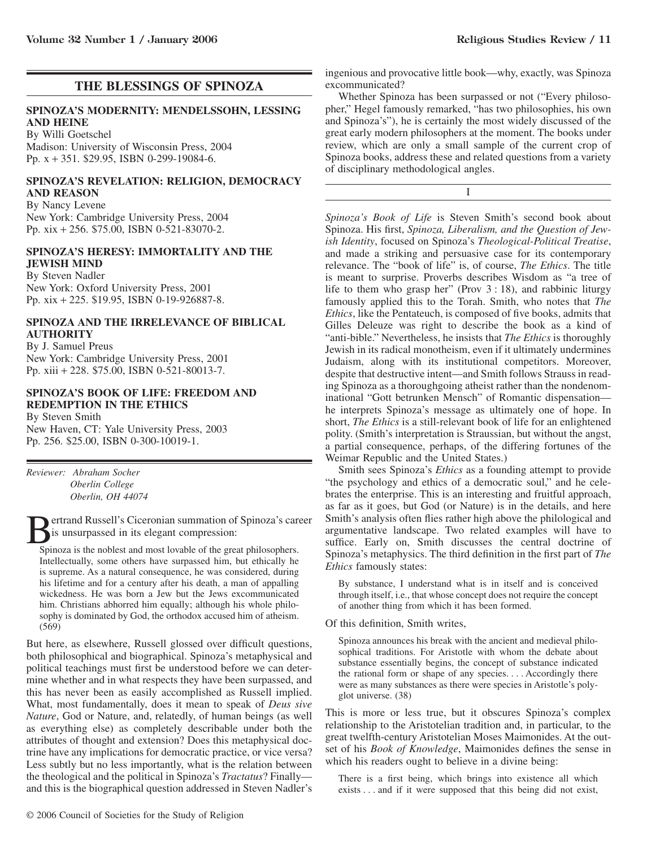## **THE BLESSINGS OF SPINOZA**

## **SPINOZA'S MODERNITY: MENDELSSOHN, LESSING AND HEINE**

By Willi Goetschel Madison: University of Wisconsin Press, 2004 Pp. x + 351. \$29.95, ISBN 0-299-19084-6.

### **SPINOZA'S REVELATION: RELIGION, DEMOCRACY AND REASON**

By Nancy Levene New York: Cambridge University Press, 2004 Pp. xix + 256. \$75.00, ISBN 0-521-83070-2.

# **SPINOZA'S HERESY: IMMORTALITY AND THE JEWISH MIND**

By Steven Nadler New York: Oxford University Press, 2001 Pp. xix + 225. \$19.95, ISBN 0-19-926887-8.

## **SPINOZA AND THE IRRELEVANCE OF BIBLICAL AUTHORITY**

By J. Samuel Preus New York: Cambridge University Press, 2001 Pp. xiii + 228. \$75.00, ISBN 0-521-80013-7.

#### **SPINOZA'S BOOK OF LIFE: FREEDOM AND REDEMPTION IN THE ETHICS** By Steven Smith

New Haven, CT: Yale University Press, 2003 Pp. 256. \$25.00, ISBN 0-300-10019-1.

*Reviewer: Abraham Socher Oberlin College Oberlin, OH 44074*

ertrand Russell's Ciceronian summation of Spinoza's career is unsurpassed in its elegant compression: **B** ertrand Russell's Ciceronian summation of Spinoza's car<br>Spinoza is the noblest and most lovable of the great philosophers.

Intellectually, some others have surpassed him, but ethically he is supreme. As a natural consequence, he was considered, during his lifetime and for a century after his death, a man of appalling wickedness. He was born a Jew but the Jews excommunicated him. Christians abhorred him equally; although his whole philosophy is dominated by God, the orthodox accused him of atheism. (569)

But here, as elsewhere, Russell glossed over difficult questions, both philosophical and biographical. Spinoza's metaphysical and political teachings must first be understood before we can determine whether and in what respects they have been surpassed, and this has never been as easily accomplished as Russell implied. What, most fundamentally, does it mean to speak of *Deus sive Nature*, God or Nature, and, relatedly, of human beings (as well as everything else) as completely describable under both the attributes of thought and extension? Does this metaphysical doctrine have any implications for democratic practice, or vice versa? Less subtly but no less importantly, what is the relation between the theological and the political in Spinoza's *Tractatus*? Finally and this is the biographical question addressed in Steven Nadler's

ingenious and provocative little book—why, exactly, was Spinoza excommunicated?

Whether Spinoza has been surpassed or not ("Every philosopher," Hegel famously remarked, "has two philosophies, his own and Spinoza's"), he is certainly the most widely discussed of the great early modern philosophers at the moment. The books under review, which are only a small sample of the current crop of Spinoza books, address these and related questions from a variety of disciplinary methodological angles.

I

*Spinoza's Book of Life* is Steven Smith's second book about Spinoza. His first, *Spinoza, Liberalism, and the Question of Jewish Identity*, focused on Spinoza's *Theological-Political Treatise*, and made a striking and persuasive case for its contemporary relevance. The "book of life" is, of course, *The Ethics*. The title is meant to surprise. Proverbs describes Wisdom as "a tree of life to them who grasp her" (Prov 3 : 18), and rabbinic liturgy famously applied this to the Torah. Smith, who notes that *The Ethics*, like the Pentateuch, is composed of five books, admits that Gilles Deleuze was right to describe the book as a kind of "anti-bible." Nevertheless, he insists that *The Ethics* is thoroughly Jewish in its radical monotheism, even if it ultimately undermines Judaism, along with its institutional competitors. Moreover, despite that destructive intent—and Smith follows Strauss in reading Spinoza as a thoroughgoing atheist rather than the nondenominational "Gott betrunken Mensch" of Romantic dispensation he interprets Spinoza's message as ultimately one of hope. In short, *The Ethics* is a still-relevant book of life for an enlightened polity. (Smith's interpretation is Straussian, but without the angst, a partial consequence, perhaps, of the differing fortunes of the Weimar Republic and the United States.)

Smith sees Spinoza's *Ethics* as a founding attempt to provide "the psychology and ethics of a democratic soul," and he celebrates the enterprise. This is an interesting and fruitful approach, as far as it goes, but God (or Nature) is in the details, and here Smith's analysis often flies rather high above the philological and argumentative landscape. Two related examples will have to suffice. Early on, Smith discusses the central doctrine of Spinoza's metaphysics. The third definition in the first part of *The Ethics* famously states:

By substance, I understand what is in itself and is conceived through itself, i.e., that whose concept does not require the concept of another thing from which it has been formed.

### Of this definition, Smith writes,

Spinoza announces his break with the ancient and medieval philosophical traditions. For Aristotle with whom the debate about substance essentially begins, the concept of substance indicated the rational form or shape of any species. . . . Accordingly there were as many substances as there were species in Aristotle's polyglot universe. (38)

This is more or less true, but it obscures Spinoza's complex relationship to the Aristotelian tradition and, in particular, to the great twelfth-century Aristotelian Moses Maimonides. At the outset of his *Book of Knowledge*, Maimonides defines the sense in which his readers ought to believe in a divine being:

There is a first being, which brings into existence all which exists . . . and if it were supposed that this being did not exist,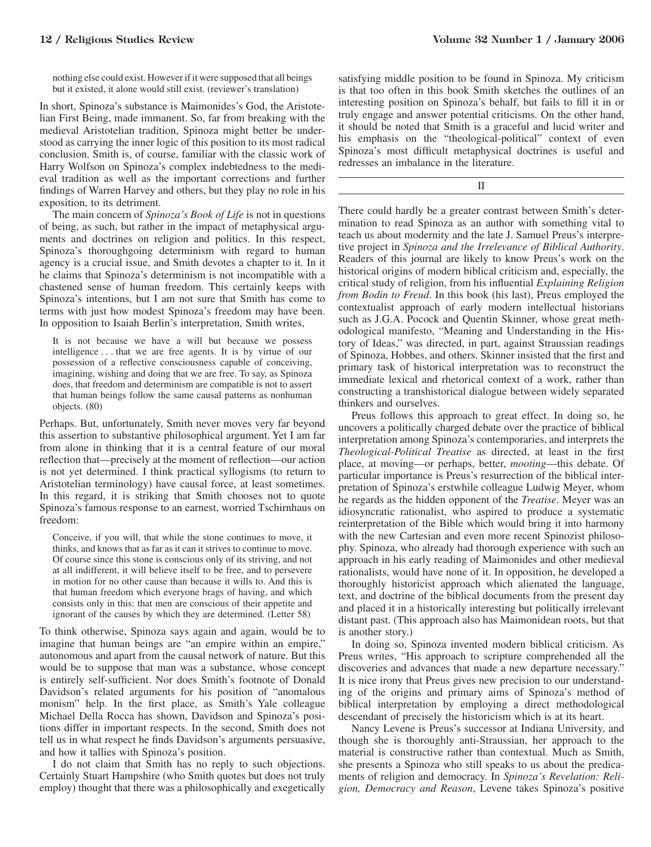nothing else could exist. However if it were supposed that all beings but it existed, it alone would still exist. (reviewer's translation)

In short, Spinoza's substance is Maimonides's God, the Aristotelian First Being, made immanent. So, far from breaking with the medieval Aristotelian tradition, Spinoza might better be understood as carrying the inner logic of this position to its most radical conclusion. Smith is, of course, familiar with the classic work of Harry Wolfson on Spinoza's complex indebtedness to the medieval tradition as well as the important corrections and further findings of Warren Harvey and others, but they play no role in his exposition, to its detriment.

The main concern of *Spinoza's Book of Life* is not in questions of being, as such, but rather in the impact of metaphysical arguments and doctrines on religion and politics. In this respect, Spinoza's thoroughgoing determinism with regard to human agency is a crucial issue, and Smith devotes a chapter to it. In it he claims that Spinoza's determinism is not incompatible with a chastened sense of human freedom. This certainly keeps with Spinoza's intentions, but I am not sure that Smith has come to terms with just how modest Spinoza's freedom may have been. In opposition to Isaiah Berlin's interpretation, Smith writes,

It is not because we have a will but because we possess intelligence . . . that we are free agents. It is by virtue of our possession of a reflective consciousness capable of conceiving, imagining, wishing and doing that we are free. To say, as Spinoza does, that freedom and determinism are compatible is not to assert that human beings follow the same causal patterns as nonhuman objects. (80)

Perhaps. But, unfortunately, Smith never moves very far beyond this assertion to substantive philosophical argument. Yet I am far from alone in thinking that it is a central feature of our moral reflection that—precisely at the moment of reflection—our action is not yet determined. I think practical syllogisms (to return to Aristotelian terminology) have causal force, at least sometimes. In this regard, it is striking that Smith chooses not to quote Spinoza's famous response to an earnest, worried Tschirnhaus on freedom:

Conceive, if you will, that while the stone continues to move, it thinks, and knows that as far as it can it strives to continue to move. Of course since this stone is conscious only of its striving, and not at all indifferent, it will believe itself to be free, and to persevere in motion for no other cause than because it wills to. And this is that human freedom which everyone brags of having, and which consists only in this: that men are conscious of their appetite and ignorant of the causes by which they are determined. (Letter 58)

To think otherwise, Spinoza says again and again, would be to imagine that human beings are "an empire within an empire," autonomous and apart from the causal network of nature. But this would be to suppose that man was a substance, whose concept is entirely self-sufficient. Nor does Smith's footnote of Donald Davidson's related arguments for his position of "anomalous monism" help. In the first place, as Smith's Yale colleague Michael Della Rocca has shown, Davidson and Spinoza's positions differ in important respects. In the second, Smith does not tell us in what respect he finds Davidson's arguments persuasive, and how it tallies with Spinoza's position.

I do not claim that Smith has no reply to such objections. Certainly Stuart Hampshire (who Smith quotes but does not truly employ) thought that there was a philosophically and exegetically satisfying middle position to be found in Spinoza. My criticism is that too often in this book Smith sketches the outlines of an interesting position on Spinoza's behalf, but fails to fill it in or truly engage and answer potential criticisms. On the other hand, it should be noted that Smith is a graceful and lucid writer and his emphasis on the "theological-political" context of even Spinoza's most difficult metaphysical doctrines is useful and redresses an imbalance in the literature.

II

There could hardly be a greater contrast between Smith's determination to read Spinoza as an author with something vital to teach us about modernity and the late J. Samuel Preus's interpretive project in *Spinoza and the Irrelevance of Biblical Authority*. Readers of this journal are likely to know Preus's work on the historical origins of modern biblical criticism and, especially, the critical study of religion, from his influential *Explaining Religion from Bodin to Freud*. In this book (his last), Preus employed the contextualist approach of early modern intellectual historians such as J.G.A. Pocock and Quentin Skinner, whose great methodological manifesto, "Meaning and Understanding in the History of Ideas," was directed, in part, against Straussian readings of Spinoza, Hobbes, and others. Skinner insisted that the first and primary task of historical interpretation was to reconstruct the immediate lexical and rhetorical context of a work, rather than constructing a transhistorical dialogue between widely separated thinkers and ourselves.

Preus follows this approach to great effect. In doing so, he uncovers a politically charged debate over the practice of biblical interpretation among Spinoza's contemporaries, and interprets the *Theological-Political Treatise* as directed, at least in the first place, at moving—or perhaps, better, *mooting*—this debate. Of particular importance is Preus's resurrection of the biblical interpretation of Spinoza's erstwhile colleague Ludwig Meyer, whom he regards as the hidden opponent of the *Treatise*. Meyer was an idiosyncratic rationalist, who aspired to produce a systematic reinterpretation of the Bible which would bring it into harmony with the new Cartesian and even more recent Spinozist philosophy. Spinoza, who already had thorough experience with such an approach in his early reading of Maimonides and other medieval rationalists, would have none of it. In opposition, he developed a thoroughly historicist approach which alienated the language, text, and doctrine of the biblical documents from the present day and placed it in a historically interesting but politically irrelevant distant past. (This approach also has Maimonidean roots, but that is another story.)

In doing so, Spinoza invented modern biblical criticism. As Preus writes, "His approach to scripture comprehended all the discoveries and advances that made a new departure necessary." It is nice irony that Preus gives new precision to our understanding of the origins and primary aims of Spinoza's method of biblical interpretation by employing a direct methodological descendant of precisely the historicism which is at its heart.

Nancy Levene is Preus's successor at Indiana University, and though she is thoroughly anti-Straussian, her approach to the material is constructive rather than contextual. Much as Smith, she presents a Spinoza who still speaks to us about the predicaments of religion and democracy. In *Spinoza's Revelation: Religion, Democracy and Reason*, Levene takes Spinoza's positive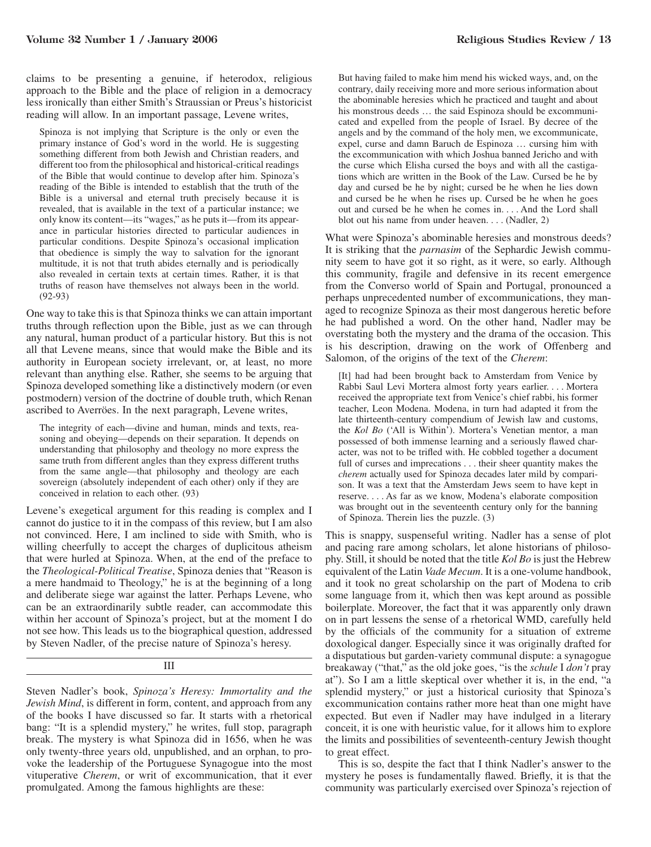claims to be presenting a genuine, if heterodox, religious approach to the Bible and the place of religion in a democracy less ironically than either Smith's Straussian or Preus's historicist reading will allow. In an important passage, Levene writes,

Spinoza is not implying that Scripture is the only or even the primary instance of God's word in the world. He is suggesting something different from both Jewish and Christian readers, and different too from the philosophical and historical-critical readings of the Bible that would continue to develop after him. Spinoza's reading of the Bible is intended to establish that the truth of the Bible is a universal and eternal truth precisely because it is revealed, that is available in the text of a particular instance; we only know its content—its "wages," as he puts it—from its appearance in particular histories directed to particular audiences in particular conditions. Despite Spinoza's occasional implication that obedience is simply the way to salvation for the ignorant multitude, it is not that truth abides eternally and is periodically also revealed in certain texts at certain times. Rather, it is that truths of reason have themselves not always been in the world. (92-93)

One way to take this is that Spinoza thinks we can attain important truths through reflection upon the Bible, just as we can through any natural, human product of a particular history. But this is not all that Levene means, since that would make the Bible and its authority in European society irrelevant, or, at least, no more relevant than anything else. Rather, she seems to be arguing that Spinoza developed something like a distinctively modern (or even postmodern) version of the doctrine of double truth, which Renan ascribed to Averröes. In the next paragraph, Levene writes,

The integrity of each—divine and human, minds and texts, reasoning and obeying—depends on their separation. It depends on understanding that philosophy and theology no more express the same truth from different angles than they express different truths from the same angle—that philosophy and theology are each sovereign (absolutely independent of each other) only if they are conceived in relation to each other. (93)

Levene's exegetical argument for this reading is complex and I cannot do justice to it in the compass of this review, but I am also not convinced. Here, I am inclined to side with Smith, who is willing cheerfully to accept the charges of duplicitous atheism that were hurled at Spinoza. When, at the end of the preface to the *Theological-Political Treatise*, Spinoza denies that "Reason is a mere handmaid to Theology," he is at the beginning of a long and deliberate siege war against the latter. Perhaps Levene, who can be an extraordinarily subtle reader, can accommodate this within her account of Spinoza's project, but at the moment I do not see how. This leads us to the biographical question, addressed by Steven Nadler, of the precise nature of Spinoza's heresy.

III

Steven Nadler's book, *Spinoza's Heresy: Immortality and the Jewish Mind*, is different in form, content, and approach from any of the books I have discussed so far. It starts with a rhetorical bang: "It is a splendid mystery," he writes, full stop, paragraph break. The mystery is what Spinoza did in 1656, when he was only twenty-three years old, unpublished, and an orphan, to provoke the leadership of the Portuguese Synagogue into the most vituperative *Cherem*, or writ of excommunication, that it ever promulgated. Among the famous highlights are these:

But having failed to make him mend his wicked ways, and, on the contrary, daily receiving more and more serious information about the abominable heresies which he practiced and taught and about his monstrous deeds … the said Espinoza should be excommunicated and expelled from the people of Israel. By decree of the angels and by the command of the holy men, we excommunicate, expel, curse and damn Baruch de Espinoza … cursing him with the excommunication with which Joshua banned Jericho and with the curse which Elisha cursed the boys and with all the castigations which are written in the Book of the Law. Cursed be he by day and cursed be he by night; cursed be he when he lies down and cursed be he when he rises up. Cursed be he when he goes out and cursed be he when he comes in. . . . And the Lord shall blot out his name from under heaven. . . . (Nadler, 2)

What were Spinoza's abominable heresies and monstrous deeds? It is striking that the *parnasim* of the Sephardic Jewish community seem to have got it so right, as it were, so early. Although this community, fragile and defensive in its recent emergence from the Converso world of Spain and Portugal, pronounced a perhaps unprecedented number of excommunications, they managed to recognize Spinoza as their most dangerous heretic before he had published a word. On the other hand, Nadler may be overstating both the mystery and the drama of the occasion. This is his description, drawing on the work of Offenberg and Salomon, of the origins of the text of the *Cherem*:

[It] had had been brought back to Amsterdam from Venice by Rabbi Saul Levi Mortera almost forty years earlier. . . . Mortera received the appropriate text from Venice's chief rabbi, his former teacher, Leon Modena. Modena, in turn had adapted it from the late thirteenth-century compendium of Jewish law and customs, the *Kol Bo* ('All is Within'). Mortera's Venetian mentor, a man possessed of both immense learning and a seriously flawed character, was not to be trifled with. He cobbled together a document full of curses and imprecations . . . their sheer quantity makes the *cherem* actually used for Spinoza decades later mild by comparison. It was a text that the Amsterdam Jews seem to have kept in reserve. . . . As far as we know, Modena's elaborate composition was brought out in the seventeenth century only for the banning of Spinoza. Therein lies the puzzle. (3)

This is snappy, suspenseful writing. Nadler has a sense of plot and pacing rare among scholars, let alone historians of philosophy. Still, it should be noted that the title *Kol Bo* is just the Hebrew equivalent of the Latin *Vade Mecum*. It is a one-volume handbook, and it took no great scholarship on the part of Modena to crib some language from it, which then was kept around as possible boilerplate. Moreover, the fact that it was apparently only drawn on in part lessens the sense of a rhetorical WMD, carefully held by the officials of the community for a situation of extreme doxological danger. Especially since it was originally drafted for a disputatious but garden-variety communal dispute: a synagogue breakaway ("that," as the old joke goes, "is the *schule* I *don't* pray at"). So I am a little skeptical over whether it is, in the end, "a splendid mystery," or just a historical curiosity that Spinoza's excommunication contains rather more heat than one might have expected. But even if Nadler may have indulged in a literary conceit, it is one with heuristic value, for it allows him to explore the limits and possibilities of seventeenth-century Jewish thought to great effect.

This is so, despite the fact that I think Nadler's answer to the mystery he poses is fundamentally flawed. Briefly, it is that the community was particularly exercised over Spinoza's rejection of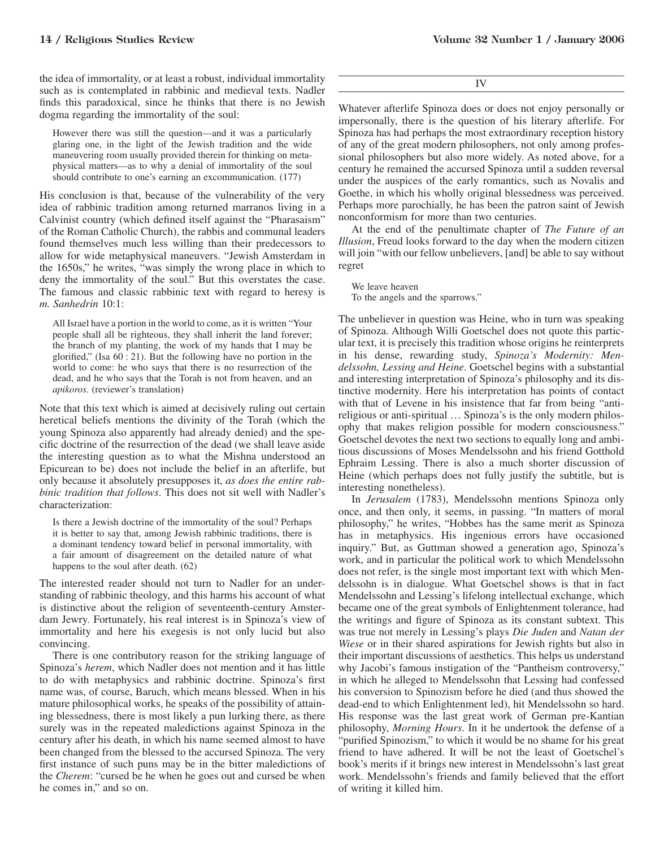the idea of immortality, or at least a robust, individual immortality such as is contemplated in rabbinic and medieval texts. Nadler finds this paradoxical, since he thinks that there is no Jewish dogma regarding the immortality of the soul:

However there was still the question—and it was a particularly glaring one, in the light of the Jewish tradition and the wide maneuvering room usually provided therein for thinking on metaphysical matters—as to why a denial of immortality of the soul should contribute to one's earning an excommunication. (177)

His conclusion is that, because of the vulnerability of the very idea of rabbinic tradition among returned marranos living in a Calvinist country (which defined itself against the "Pharasaism" of the Roman Catholic Church), the rabbis and communal leaders found themselves much less willing than their predecessors to allow for wide metaphysical maneuvers. "Jewish Amsterdam in the 1650s," he writes, "was simply the wrong place in which to deny the immortality of the soul." But this overstates the case. The famous and classic rabbinic text with regard to heresy is *m. Sanhedrin* 10:1:

All Israel have a portion in the world to come, as it is written "Your people shall all be righteous, they shall inherit the land forever; the branch of my planting, the work of my hands that I may be glorified," (Isa 60 : 21). But the following have no portion in the world to come: he who says that there is no resurrection of the dead, and he who says that the Torah is not from heaven, and an *apikoros*. (reviewer's translation)

Note that this text which is aimed at decisively ruling out certain heretical beliefs mentions the divinity of the Torah (which the young Spinoza also apparently had already denied) and the specific doctrine of the resurrection of the dead (we shall leave aside the interesting question as to what the Mishna understood an Epicurean to be) does not include the belief in an afterlife, but only because it absolutely presupposes it, *as does the entire rabbinic tradition that follows*. This does not sit well with Nadler's characterization:

Is there a Jewish doctrine of the immortality of the soul? Perhaps it is better to say that, among Jewish rabbinic traditions, there is a dominant tendency toward belief in personal immortality, with a fair amount of disagreement on the detailed nature of what happens to the soul after death. (62)

The interested reader should not turn to Nadler for an understanding of rabbinic theology, and this harms his account of what is distinctive about the religion of seventeenth-century Amsterdam Jewry. Fortunately, his real interest is in Spinoza's view of immortality and here his exegesis is not only lucid but also convincing.

There is one contributory reason for the striking language of Spinoza's *herem*, which Nadler does not mention and it has little to do with metaphysics and rabbinic doctrine. Spinoza's first name was, of course, Baruch, which means blessed. When in his mature philosophical works, he speaks of the possibility of attaining blessedness, there is most likely a pun lurking there, as there surely was in the repeated maledictions against Spinoza in the century after his death, in which his name seemed almost to have been changed from the blessed to the accursed Spinoza. The very first instance of such puns may be in the bitter maledictions of the *Cherem*: "cursed be he when he goes out and cursed be when he comes in," and so on.

IV

Whatever afterlife Spinoza does or does not enjoy personally or impersonally, there is the question of his literary afterlife. For Spinoza has had perhaps the most extraordinary reception history of any of the great modern philosophers, not only among professional philosophers but also more widely. As noted above, for a century he remained the accursed Spinoza until a sudden reversal under the auspices of the early romantics, such as Novalis and Goethe, in which his wholly original blessedness was perceived. Perhaps more parochially, he has been the patron saint of Jewish nonconformism for more than two centuries.

At the end of the penultimate chapter of *The Future of an Illusion*, Freud looks forward to the day when the modern citizen will join "with our fellow unbelievers, [and] be able to say without regret

We leave heaven To the angels and the sparrows."

The unbeliever in question was Heine, who in turn was speaking of Spinoza. Although Willi Goetschel does not quote this particular text, it is precisely this tradition whose origins he reinterprets in his dense, rewarding study, *Spinoza's Modernity: Mendelssohn, Lessing and Heine*. Goetschel begins with a substantial and interesting interpretation of Spinoza's philosophy and its distinctive modernity. Here his interpretation has points of contact with that of Levene in his insistence that far from being "antireligious or anti-spiritual … Spinoza's is the only modern philosophy that makes religion possible for modern consciousness." Goetschel devotes the next two sections to equally long and ambitious discussions of Moses Mendelssohn and his friend Gotthold Ephraim Lessing. There is also a much shorter discussion of Heine (which perhaps does not fully justify the subtitle, but is interesting nonetheless).

In *Jerusalem* (1783), Mendelssohn mentions Spinoza only once, and then only, it seems, in passing. "In matters of moral philosophy," he writes, "Hobbes has the same merit as Spinoza has in metaphysics. His ingenious errors have occasioned inquiry." But, as Guttman showed a generation ago, Spinoza's work, and in particular the political work to which Mendelssohn does not refer, is the single most important text with which Mendelssohn is in dialogue. What Goetschel shows is that in fact Mendelssohn and Lessing's lifelong intellectual exchange, which became one of the great symbols of Enlightenment tolerance, had the writings and figure of Spinoza as its constant subtext. This was true not merely in Lessing's plays *Die Juden* and *Natan der Wiese* or in their shared aspirations for Jewish rights but also in their important discussions of aesthetics. This helps us understand why Jacobi's famous instigation of the "Pantheism controversy," in which he alleged to Mendelssohn that Lessing had confessed his conversion to Spinozism before he died (and thus showed the dead-end to which Enlightenment led), hit Mendelssohn so hard. His response was the last great work of German pre-Kantian philosophy, *Morning Hours*. In it he undertook the defense of a "purified Spinozism," to which it would be no shame for his great friend to have adhered. It will be not the least of Goetschel's book's merits if it brings new interest in Mendelssohn's last great work. Mendelssohn's friends and family believed that the effort of writing it killed him.